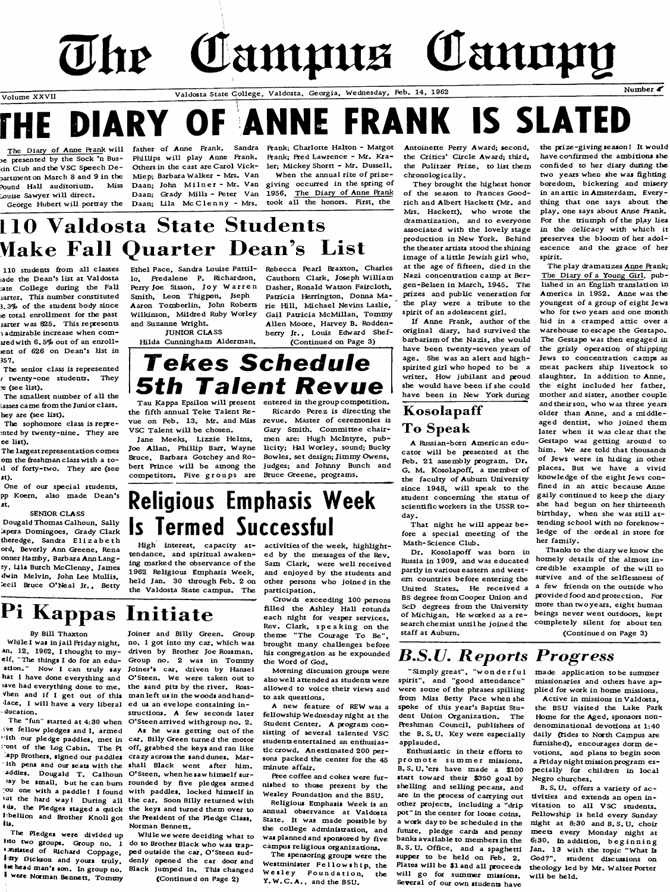# The Campus Canopy

 $Volume$  XXVII

Valdosta State College, Valdosta, Georgia, Wednesday, Feb. 14, 1962

## **DIARY OF ANNE FRANK IS SLATED**

The Diary of Anne Frank will **)e presented by the Sock \*n Bus**cin Club and the VSC Speech De**partment on March 8 and 9 in the Ound HaU auditorium. Miss** Louise Sawyer will direct.

**George Hubert w iU portray the**

Others in the cast are Carol Vick- ler; Mickey Shortt - Mr. Dussell. **Miep: Barbara Walker - Mrs. Van** Daan; John Milner - Mr. Van giving occurred in the spring of Daan; Grady Mills - Peter Van 1956, <u>The Diary of Anne Frank</u> **Daan; Lila McClenny - Mrs. took a ll the honors. First, the**

father of **A**nne Frank. Sandra Frank; Charlotte Halton - Margot Phillips will play Anne Frank. Frank; Fred Lawrence - Mr. Kra-

When the annual rite of prize-

**Antoinette Perry Award; second, the Critics' Circle Award; third,** the Pulitzer Prize, to list them **chrono logically.**

**They brought the highest honor** of the season to Frances Goodrich and Albert Hackett (Mr. and **Mrs. Hackett), who wrote the dramatization, and to everyone associated with the lovely stage production in New York. Behind the theater artists stood the shining** image of a little Jewish girl who, at the age of fifteen, died in the Nazi concentration camp at Ber**gen-Belsen in March, 1945. The prizes and public veneration for the play were a tribute to the** spirit of an adolescent girl.

If Anne Frank, author of the **original diary, had survived tbe** barbarism of the Nazis, she would have been twenty-seven years of **age. She was an alert and high**spirited girl who hoped to be a **writer. How jubilant and peoud** she would have been if she could **have been in New York during**

### **K o solapaff T o Speak**

A Russian-born American educator will be presented at the **Feb. 21 assembly peogram. Dr.** G. M. Kosolapoff, a member of the faculty of Auburn University since 1948, will speak to the student concerning the status of **scientific workers in the USSR today.**

That night he will appear before a special meeting of the Math-Science Club.

**Dr. Kosolapeff was born in Russia in 1909, and was educated partly in various eastern and western countries before entering the United States. He received a** BS degree from Cooper Union and Provided food and protection. For **ScD degrees from the University** of Michigan. He worked as a research chemist until he joined the completely silent for about ten **staff at Auburn.**

**the peize-givingseason ! It would have confirmed the ambitions she confided to her diary during the two years when she was Rghting** boredom, bickering and misery in an attic in **Amsterdam.** Every **thing that one says about the play, one says about Anne Frank.** For the triumph of the play lies **in the delicacy with which it** preserves the bloom of her adolescence and the grace of her **spirit.**

**Number ^**

The play dramatizes Anne Frank; The Diary of a Young Girl, pub**lished in an English translation in Am erica in 1952. Anne was the youngest** of a group of eight Jews **who for two years and one month hid in a cramped attic over a warehouse to escape the Gestape. The Gestape was then engaged in** the grisly operation of shipping **Jews to concentration campe as meat packers ship livestock to slaughter. In addition to Anne, the eight included her father, mother and sister, another couple and their son, who was three years** older than Anne, and a middleaged dentist, who joined them **later when it was clear that the Gestape was getting around to him . We are told that thousands o f Jews were in hiding in other p laces. But we have a vivid** knowledge of the eight Jews con**fined in an attic because Anne ga ily continued to keep the diary she had begun on her thirteenth birthday, when she was still attending school with no foreknow**ledge of the ordeal in store for **her fam ily .**

**Thanks to the diary we know the** homely details of the almost incredible example of the will to survive and of the selflessness of **a few mends on the outside who more than twoyears, eight human beings never went outdoors, kept (Continued on Page 3)**

**L10 Valdosta State Students Make Fall Quarter Dean's List** 

110 students from all classes **tade the Dean's list at Valdosta cate CoUege during the FaU jarter. This number constituted** 1.3% of the student body since **le total enroUment for the past rarter was 825. This represents T admirable increase when com**  iredwith 6.5% out of an enroll**lent of 626 on Dean's Ust in ?57.**

**The senior class is represented twenty\*one students. They re (see list).**

The smallest number of all the **Lasses came &om the Junior class, bey are (see list).**

The sophomore class is repre-**:nted by twenty-nine. They are ee Ust).**

**The largest representation comes om the ffeshman class with a toil of forty-two. They are (see ^t).**

**One of our special students, pp Koern, also made Dean's St.**

#### **SENIOR CLASS**

**Dougald Thomas Calhoun, Sally** Apera Domingoes, Grady Clark **theredge, Sandra Elizabeth ord, Beverly Ann Greene, Rena onner Hamby, Barbara Ann Lang-U la Burch McClenny, James dwin Melvin, John Lee MuUis,** lecil Bruce O'Neal Jr., Betty

**By Bill Thaxton**

**The Pledges were divided up**

**In y Dickson and yours truly,**

**! were Norman Bennett, Tommy**

**ducation.**

**lis.**

**Pi Kappas Initiate** 



**Ethel Pace, Sandra Louise Pattil-Rebecca Pearl Braxton, Charles lo, FTedalene P. Richardson, Cauthorn C lark, Joseph W illiam Perry Joe Sisson, Joy Warren Dasher, Ronald Watson Faircloth,** Patricia Herrington, Donna Ma**rie FRU, M ichael Nevins Laslie,** Gail Patricia McMillan, Tommy Allen Moore, Harvey B. Rodden**berry Jr., Louis Edward Shef- (Continued on Page 3)**

## **Hilda Cunningham Alderman. Tekes Schedule Sth Talent Revue**

Tau Kappa Epsilon will present entered in the group competition. **the fifth annual Teke Talent Revue on Feb. 13. Mr. and Miss revue. Master of ceremonies is** VSC Talent will be chosen.

Jane Meeks, Lizzie Helms, **Joe AUan , PhiUip Barr, Wayne licity: Hal Worley, sound; Bucky Bruce, Barbara Gotchey and Ro-Bowles, set design; Jimmy Owens, bert Prince w iU be among tbe judges; and Johnny Bunch and** competitors. Five groups are Bruce Greene, programs.

**Ricardo Perez is directing the** Gary Smith. Committee chair**men are: Hugh McIntyre, pub-**

## Retigious Emphasis Week !s Termed Successfui

High interest, capacity at**tendance, and spiritual awaken**ing marked the observance of the **1962 Religious Emphasis Week, the Valdosta State campus. The participation.**

held Jan. 30 through Feb. 2 on other persons who joined in the activities of the week, highlighted by the messages of the Rev. Sam Clark, were well received **and enjoyed by the students and**

**Crowds exceeding 100 persons** filled the Ashley Hall rotunda **each night for vesper services. Rev. Clark, speaking on the theme "The Courage To Be", brought many chaUenges before his congregation as he expeunded** the Word of God.

**Morning discussion groupe were also w e ll attended as students were allowed to voice their views and to ask questions.**

A new feature of REW was a **feUowship Wednesday night at the Student Center. A program con**sisting of several talented VSC **students entertained an enthusiastic crowd. Anestimated 200 persons packed the center for the 45 minute affair.**

**FTee coffee and cokes were furnished to those present by the Wesley Foundation and the BSU.**

**Religious Emphasis Week is an annual observance at Valdosta** State. It was made possible by **the coUcge administration, and was planned and spensored by five campes religious organizations.**

**The spensoring groupe were the** Westminister Fellowship, the Wesley Foundation, the **Y. W . C . A .. and the BSU.**

### **B.S.U. Reports Progress**

**spirit", and "good attendance"** were some of the phrases spilling **ffom Miss Betty Pace when she** spoke of this year's Baptist Stu**dent Union Organization. The Freshman Council, publishers of the B. S. U. Key were especially applauded.**

**Enthusiastic in their efforts to promote summer missions. B. S. U. 'era have made a \$100** start toward their \$350 goal by **shelling and selling pecans, and** are in the process of carrying out **other peojects. including a "drip pet " in the center for loose coins, a work day to be scheduled in the future, pledge cards and penny banks available to members in the B. S. U. OfRce, and a spaghetti supper to be held on Feb. 2.** Plates will be \$1 and all proceeds **w ill go for summer missions.** Several of our own students have

**"Simp ly great", "wonderful made application to be summer missionaries and others have app lied for work in home missions.**

> **Active in missions in Valdosta, the BSU visited the Lake Park Home for the Aged, sponsors nondenominational devotions at 1:40 daily (tides to North Campus are furnished), encourages dorm devotions, and plans to begin soon a Friday night mission program es**pecially for children in local **Negro churches.**

**B. S. U.** offers a variety of ac**tivities and extends an open in**  vitation to all VSC students. **fellowship is held every Sunday night at 8:30 and B. S. U . choir meets every Monday night at 6:30. in addition, beginning Jan. 13 with the topic "What 1\$ God?", student discussions on theology led by Mr. Walter Porter w ill be held.**

**While I was in ja il Friday night,** an. 12, 1962, I thought to my**elf, "The things I do for an edu ation." Now I can truly say Joiner's car, driven by Hansel hat I have done everything and O'Steen. We were taken out to lave had everything done to me. the sand pits by the river. Ross**vhen and if I get out of this man left us in the woods and handlace, I will have a very liberal ed us an evelope containing in-**The "fun" started at 4:30 when O'Steen arrived withgroup no. 2. Joiner and Billy Green. Group no. 1 got into my car, which was driven by Brother Joe Rossman. Croup no. 2 was in Tommy structions. A few seconds later**

<sup>1</sup> ve fellow pledges and I, armed As he was getting out of the **^ ith our pledge paddies, met in car, Billy Green turned the motor -ont of the Log Cabin. The Pi off, grabbed the keys and ran like app Brothers, signed our paddles crazy across the sand dunes. Marith pens and our seats with the shall Black went after him.** addles. Dougald T. Calhoun O'Steen, when he saw himself sur-**^ay be small, but he can bum rounded by five pledges armed ;ou one with a paddle! I found with paddles, locked himself in** <sup>sut</sup> the hard way! During all the car. Soon Billy returned with **"is . the Pledges staged a quick the keys and turned them over to hbellion** and Brother Knoll got the President of the Pledge Class, **Norman Bennett.**

**nto two groupe. Group no. 1 do to Brother Black who was trap-***Insisted of Richard Coppage*, ped outside the car, O'Steen sud-**Lehead man's son.** In group no. Black jumped in. This changed **Wliile we were deciding what to denly opened the car door and (Continued on Page 2)**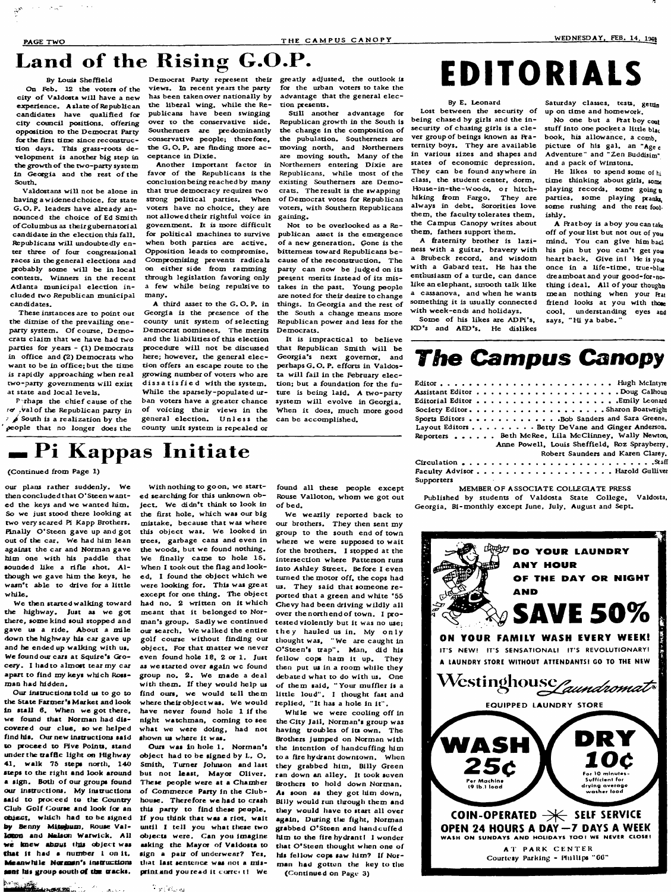## Land of the Rising G.O.P.

#### **By Louis ShefHeld**

 $\epsilon \rightarrow -\infty$  ,  $\sigma$ 

On Feb. 12 the voters of the city of Valdosta will have a new **experience.** A slate of Republican **candidates have qualified for city council positions, offering opposition to the Dem ocrat Party for the first time since reconstruction days. This grass-roots de**velopment is another big step in the growth of the two-party system in Georgia and the rest of the **South.**

Valdostans will not be alone in **having a w idened choice, for state** G.O.P. leaders have already announced the choice of Ed Smith of Columbus as their gubernatorial candidate in the election this fall. **Republicans will undoubtedly en**ter three of four congressional races in the general elections and probably some will be in local **contests. Winners in the recent** Atlanta municipal election in**cluded two Repeblican municipal candidates.**

**These instances are to point out** the dimise of the prevailing oneparty system. Of course, Demo**crats c la im that we have had two parties for years - (1 ) Democrats** in office and (2) Democrats who want to be in office: but the time is rapidly approaching when real two-party governments will exist at state and local levels.

Porhaps the chief cause of the **ro\* A.alof the Republican party in 7 ^ South is a rea lization by the ' peop le that no longer does the**

**views. In recent years the party has been taken over nationally by** the liberal wing, while the Re**publicans have been swinging over to the conservative side. Southerners are predominantly conservative people; therefore,** the G.O.P. are finding more acceptance in Dixie.

**A third asset to the G . O. P. in** Georgia is the presence of the county unit system of selecting Democrat nominees. The merits and the liabilities of this election procedure will not be discussed here; however, the general elec**tion offers an escape route to the** growing number of voters who are **dissatisfied with the system.** While the sparsely-populated ur**ban voters have a greater chance** of voicing their views in the general election. Unless the county unit system is repealed or

**Another impertant factor in** favor of the Republicans is the conclusion being reached by many **that true democracy requires tw o** strong pelitical parties. When **voters have no choice, they are not a llow ed their rightful voice in** government. It is more difficult for political machines to survive when both parties are active. **Opposition leads to compromise. Comprom ising prevents radicals** on either side from ramming **through legislation favoring only a few wh ile being repulsive to many.**

**Dem ocrat Party represent their greatly adjusted, the outlook is for the urban voters to take the** advantage that the general elec**tion presents.**

our plans rather suddenly. We **then concluded that O'Steen w anted the keys and we wanted him . So we just stood there looking at two very scared Pf Kapp Brothers. H na lly O'Steen gave up and got** out of the car. We had him lean **against the car and Norman gave** him one with his paddle that sounded like a rifle shot. Al**though we gave him the keys, he** wasn't able to drive for a little **wh ile .**

We then started walking toward **the highway. Just as we got there, some kind soul stopped and gave us a ride. About a m ile down the highway his car gave up** and he ended up walking with us. **We found our cars at Squire's Grocery . I hadto almost tear my car apart to find my keys which Rossman had hidden.**

**in stall 6. When wc got there, we found that Norman had dis**covered our clue, so we helped **find his. Our new instructions said to proceed to Five Points, stand** under the traffic light on Highway **41, walk 75 steps north, 140 steps to the right and look around** a sign. Both of our groups found **our Instructions, My instructions said to proceed to the Country** Club Golf Course and look for an **ohjsrcr, witlcli had to be signed** by Benny Misseum, Rouse Valloton and Nelson Warwick. All we knew about this object was **€has it had a number i on ir. Meanwhile Normen's instructions** asnt las group south of the tracks.

a a strategia de la composición de la composición de la composición de la composición de la composición de la <br>Descrita de la composición de la composición de la composición de la composición de la composición de la compo

Our instructions told us to go to find ours, we would tell them **the State Farm er's Market and look where their ob ject w as. W e w ou ld** With nothing to go on, we start**ed searching for this unknown ob**  ject. We didn't think to look in the first hole, which was our big **m istake, because that was where** this object was. We looked in **trees, garbage cans and even in the woods, but we found nothing.** We finally came to hole 15. When I took out the flag and looked. I found the object which we **were looking for. This was great** except for one thing. The object **had no. 2 written on it which** meant that it belonged to Norman's group. Sadly we continued **our search. We wa lked the entire g o l f course without finding our ob ject . For that matter we never even found hole 18. 2 or 1. Just as we started over agath wc found** group no. 2. We made a deal with them. If they would help us **have never found hole 1 I f the** night watchman, coming to see what we were doing, had not **shown us where it was. Ours** was in hole 1. Norman's **ob ject had to be signed by L. O . Smith, Turner Jolinson and last** but not least, Mayor Oliver. These people were at a Chamber of Commerce Party in the Clubhouse. Therefore we had to crash this party to find these people. If you think that was a riot, wait until I tell you what these two objects were. Can you imagine asking the Mayor of Vaidosta to sign a pair of underwear? Yes, that last sentence was not a misprint and you read it correct! We

**Still another advantage for Republican growth in the South is** the change in the composition of **the pubulation. Southerners are moving north, and Northerners** are moving south. Many of the **Northerners** entering Dixie are **Republicans, while most of the** existing Southerners are Demo**crats. The result is the swapping** of Democrat votes for Republican **voters, with Southern Republicans ga in ing .**

**Not to be overlooked as a Repub lican asset is the em ergence** of a new generation. Gone is the bitterness toward Republicans because of the reconstruction. The **party can now be judged on its** present merits instead of its mistakes in the past. Young people **are noted for their desire to change** things. In Georgia and the rest of **the South a change means more Republican power and less for the Dem ocrats.**

It is impractical to believe that Republican Smith will be **Georg ia's next governor, and** perhaps G.O.P. efforts in Valdosta will fail in the February election; but a foundation for the future is being laid. A two-party system will evolve in Georgia. **When it does, much more good** can be accomplished.

Some of his likes are ADPi's. **K D 's and AED 's. He dislikes**

#### Saturday classes, tests, gettin **up on time and homework.**

**No one but a FTat boy coal** stuff into one pocket a little blac book, his allowance, a comb, picture of his gal, an "Age of **Adventure ' and "Z en Buddisim"** and a pack of Winstons.

#### **(Continued from Page 1)**

found all these people except **Rouse Valloton, whom we got out o f bed .**

We wearily reported back to **our brothers. They then sent my** group to the south end of town **where we were suppesed to wait for the brothers. I stopped at the intersection where Patterson runs** into Ashley Street. Before I even turned the motor off, the cops had us. They said that someone re**perted that a green and white '55** Chevy had been driving wildly all over the north end of town. I pro**tested vio lently but it was no use; they hauled us in . My only** thought was, "We are caught in **O 'S teen 's trap ". Man, did his fe llow cops ham it up. They then put us in a room whiic they debated what to do with us. One** of them said, "Your muffler is a little loud". I thought fast and replied, "It has a hole in it".

## **EDITORIALS**

#### **By E. Leonard**

Lost between the security of **being chased by girls and the in**  security of chasing girls is a clever group of beings known as **Ra**ternity boys. They are available **in various sizes and shapes and** states of economic depression. **They can be found anywhere in class, the student center, dorm ,** House-in-the-Woods, or hitchhiking from Fargo. They are **always in debt. Sororities love them , the faculty tolerates them , the Campus Canopy writes about** them, fathers support them.

A fraternity brother is lazi**ness with a guitar, bravery with** a Brubeck record, and wisdom with a Gabard test. He has the enthusiasm of a turtle, can dance **like an elephant, smooth talk like a cassanova, and when he wants something it is usually connected** with week-ends and holidays.

**He likes to spend some of hi** time thinking about girls, some playing records, some going **h parties, some playing pranks,** some rushing and the rest fool. **ishly.**

A Fratboy is a boy you can take off of your list but not out of you mind. You can give him back **his pin but you can't get you** heart back. Give in! He is you once in a life-time, true-blue **dream boatand your good-for-no**thing ideal. All of your thought **mean nothing when your Frai** friend looks at you with those **coo l, understanding eyes and** says, "Hi ya babe."

## **The Campus Canopy**

**W M le we were coo ling o ff in the C ity Jail, Norm an's group was** having troubles of its own. The **Brothers jum ped on Norman with** the intention of handcuffing him to a fire hydrant downtown. When they grabbed him, Billy Green ran down an alley. It took seven Brothers to hold down Norman. **As soon as they got !dm down, Billy would run through them and** they would have to start all over again. During the fight, Norman **grabbed O 'Steen and ttandcuffed Mm to the fire hydrant! i wonder** that O'Steen thought when one of his fellow cops saw him? If Norman had gotten the key to the **(Continued on Page 3)**

**WASH**<br>25c Per Machin**e**<br>19 Ib.) load **D R V Fof 10 IOC Sufficient for drying average wather !ood** COIN-OPERATED  $\rightarrow$  SELF SERVICE **OPEN 24 HOURS A DAY- 7 DAYS A WEEK** WASH ON SUNDAYS AND HOLIDAYS TOO! WE NEVER CLOSE! A T PARK CENTER Courtesy Parking - Phillips "66"

| Society Editor. Sharon Boatwright                                                           |
|---------------------------------------------------------------------------------------------|
| Sports Editors Bob Sanders and Sara Greene.                                                 |
| Layout Editors Betty De Vane and Ginger Anderson.                                           |
| Reporters Beth McRee, Lila McClinney, Wally Newton,                                         |
| Anne Powell, Louis Sheffield, Roz Sprayberry,                                               |
| Robert Saunders and Karen Clarey.                                                           |
|                                                                                             |
|                                                                                             |
| <b>Supporters</b><br>$\mathcal{L}_{\text{max}}$ and $\mathcal{L}_{\text{max}}$ . The set of |
|                                                                                             |

**MEMBER OF ASSOCIATE COLLEGIATE PRESS** 

Published by students of Valdosta State College, Valdosta, Georgia, Bi-monthly except June, July, August and Sept.



## **Pi Kappas Initiate**

**' y.' L J' !..- .rj**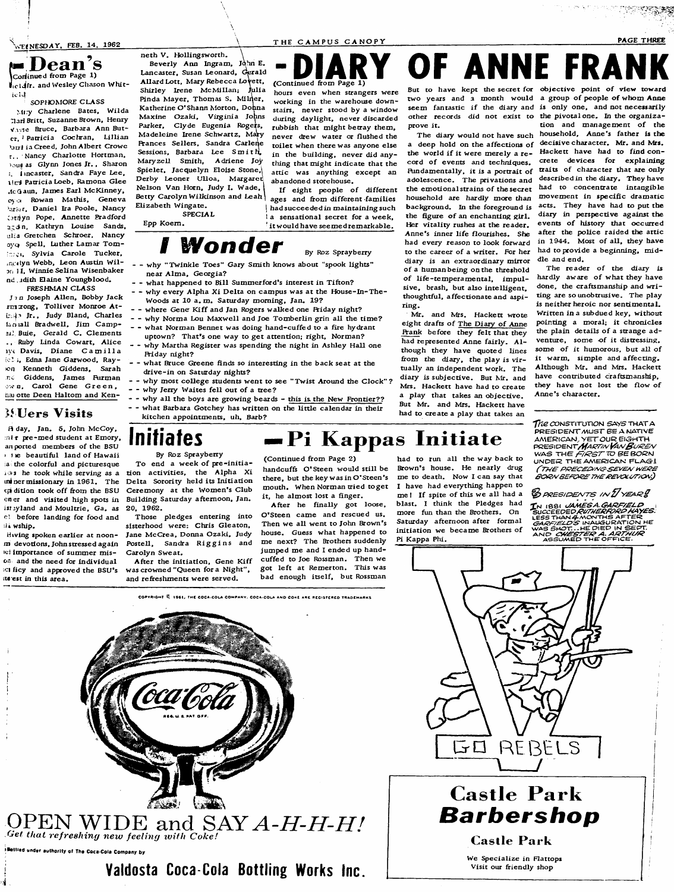#### EINESDAY, FEB. 14, 1962

## Continued from Page 1)

lieldfr. and Wesley Chason Whiticld

SOPHOMORE CLASS Mtry Charlene Bates, Wilda Tarl Britt, Suzanne Brown, Henry Vayie Bruce, Barbara Ann Buter. Patricia Cochran, Lillian Vatri ia Creed, John Albert Crowe r., Nancy Charlotte Hortman, Yous as Glynn Jones Jr., Sharon :. Incaster, Sandra Faye Lee, **Net Patricia Loeb**, Ramona Glee .tc Gaun, James Earl McKinney, oyor Rowan Mathis, Geneva Parker, Daniel Ira Poole, Nancy Cathyn Pope, Annette Pradford agdn, Kathryn Louise Sands, ulia Gretchen Schroer, Nancy oyq Spell, Luther Lamar Tomintel. Sylvia Carole Tucker, metyn Webb, Leon Austin Wilon II. Winnie Selina Wisenbaker nd .idith Elaine Youngblood. **FRESHMAN CLASS** 

Jin Joseph Allen, Bobby Jack Immong, Tolliver Monroe Atinsta Jr., Judy Bland, Charles laniall Bradwell, Jim Campail Buie, Gerald C. Clements ., Ruby Linda Cowart, Alice aye Davis, Diane Camilla iels, Edna Jane Garwood, Rayion Kenneth Giddens, Sarah nd Giddens, James Furman own, Carol Gene Green, ha otte Deen Haltom and Ken-

#### **MUers Visits**

H day, Jan. 5, John McCoy, mix pre-med student at Emory, an ported members of the BSU ie beautiful land of Hawaii a the colorful and picturesque ids he took while serving as a in ner missionary in 1961. The epi dition took off from the BSU enter and visited high spots in isteyland and Moultrie, Ga. as 20, 1962. el before landing for food and di wship.

Hiving spoken earlier at noonm devotions, John stressed again tet importance of summer mison and the need for individual et ficy and approved the BSU's its'est in this area.

neth V. Hollingsworth.

Beverly Ann Ingram, John E. Lancaster, Susan Leonard, Gerald Allard Lott, Mary Rebecca Lovett, Shirley Irene McMillan; julia Pinda Mayer. Thomas S. Milner. Katherine O'Shann Morton, Dohna Maxine Ozaki, Virginia Johns Parker, Clyde Eugenia Rogers, Madeleine Irene Schwartz, Mary Frances Sellers, Sandra Carlene Sessions, Barbara Lee Smith, Maryzell Smith, Adriene Joy Spieler. Jacquelyn Eloise Stone. Derby Leoner Ulloa, Margaret Nelson Van Horn, Judy I. Wade, Betty Carolyn Wilkinson and Leah Elizabeth Wingate.

SPECIAL

Epp Koern.

#### THE CAMPUS CANOPY

' OF ANNE FRANK  $(Continued from Page 1)$ hours even when strangers were working in the warehouse downstairs, never stood by a window during daylight, never discarded rubbish that might betray them, never drew water or flushed the toilet when there was anyone else in the building, never did anything that might indicate that the attic was anything except an abandoned storehouse.

prove it.

ring.

the world if it were merely a re-

cord of events and techniques.

Pundamentally, it is a portrait of

adolescence. The privations and

the emotional strains of the secret

household are hardly more than

background. In the foreground is

the figure of an enchanting girl.

Her vitality rushes at the reader.

Anne's inner life flourishes. She

had every reason to look forward

to the career of a writer. For her

diary is an extraordinary mirror

of a human being on the threshold

of life-temperamental, impul-

sive, brash, but also intelligent.

thoughtful, affectionate and aspi-

eight drafts of The Diary of Anne

Frank before they felt that they

had represented Anne fairly. Al-

though they have quoted lines

from the diary, the play is vir-

tually an independent work. The

diary is subjective. But Mr. and

Mrs. Hackett have had to create

a play that takes an objective.

But Mr. and Mrs. Hackett have

had to create a play that takes an

Mr. and Mrs. Hackett wrote

If eight people of different ages and from different families had succeeded in maintaining such a sensational secret for a week. it would have seemed remarkable.

Wonder By Roz Sprayberry - - why "Twinkle Toes" Gary Smith knows about "spook lights"

- near Alma, Georgia?
- - what happened to Bill Summerford's interest in Tifton? - - why every Alpha Xi Delta on campus was at the House-In-The-
	- Woods at 10 a.m. Saturday morning, Jan. 19?
- where Gene Kiff and Jan Rogers walked one Friday night?
- - why Norma Lou Maxwell and Joe Tomberlin grin all the time?
- what Norman Bennet was doing hand-cuffed to a fire hydrant
- uptown? That's one way to get attention; right, Norman? why Martha Register was spending the night in Ashley Hall one Priday night?
- what Bruce Greene finds so interesting in the back seat at the drive-in on Saturday nights?
- why most college students went to see "Twist Around the Clock"? - why Jerry Waites fell out of a tree?
- why all the boys are growing beards this is the New Frontier?? - what Barbara Gotchey has written on the little calendar in their
	- kitchen appointments, uh, Barb?

Initiates -Pi Kappas Initiate

By Roz Sprayberry

To end a week of pre-initiation activities, the Alpha Xi Delta Sorority held its Initiation Ceremony at the Women's Club Building Saturday afternoon, Jan.

Those pledges entering into sisterhood were: Chris Gleaton, Jane McCrea, Donna Ozaki, Judy Postell, Sandra Riggins and Carolyn Sweat.

After the initiation, Gene Kiff was crowned "Queen for a Night", and refreshments were served.

(Continued from Page 2) handcuffs O'Steen would still be there, but the key was in O'Steen's mouth. When Norman tried to get it, he almost lost a finger.

After he finally got loose, O'Steen came and rescued us. Then we all went to John Brown's house. Guess what happened to me next? The Brothers suddenly jumped me and I ended up handcuffed to Joe Rossman. Then we got left at Remerton. This was bad enough itself, but Rossman

had to run all the way back to Brown's house. He nearly drug me to death. Now I can say that I have had everything happen to me! If spite of this we all had a blast. I think the Pledges had more fun than the Brothers. On Saturday afternoon after formal initiation we became Brothers of Pi Kappa Phi.

But to have kept the secret for objective point of view toward two years and a month would a group of people of whom Anne seem fantastic if the diary and is only one, and not necessarily other records did not exist to the pivotal one. In the organization and management of the The diary would not have such household, Anne's father is the a deep hold on the affections of decisive character. Mr. and Mrs. Hackett have had to find concrete devices for explaining traits of character that are only described in the diary. They have had to concentrate intangible movement in specific dramatic acts. They have had to put the diary in perspective against the events of history that occurred after the police raided the attic in 1944. Most of all, they have had to provide a beginning, middle and end.

> The reader of the diary is hardly aware of what they have done, the craftsmanship and writing are so unobtrusive. The play is neither heroic nor sentimental. Written in a subdued key, without pointing a moral; it chronicles the plain details of a strange adventure, some of it distressing, some of it humorous, but all of it warm, simple and affecting. Although Mr. and Mrs. Hackett have contributed craftsmanship, they have not lost the flow of Anne's character.

The CONSTITUTION SAYS THAT A PRESIDENT MUST BE A NATIVE AMERICAN, YET OUR EIGHTH PRESIDENT MARTIN VAN BUREN WAS THE FIRST TO BE BORN UNDER THE AMERICAN FLAG! (THE PRECEDING SEVEN WERE BORN BEFORE THE REVOLUTION.)

#### **BARESIDENTS IN I YEARS**

IN 1881 JAMESA GARFIELD IN 1881 UAMES A GARETELO<br>SUCCEDED RUTHERFORD HAYES.<br>LESS THAN 4 MONTHS AFTER<br>GARETELO'S INAUGURATION HE<br>WAS SHOT...HE DIED IN SECTED<br>ASSUMED THE OFFICE.

COPYRIGHT C 1961, THE COCA-COLA COMPANY, COCA-COLA AND COKE ARE REGISTERED TRADEMARKS





PAGE THREE